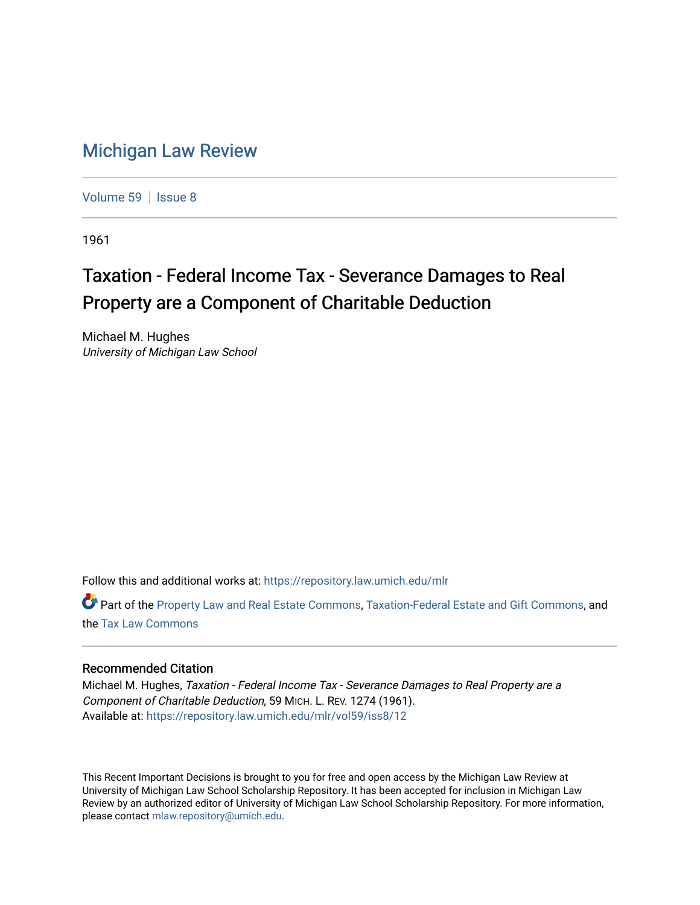## [Michigan Law Review](https://repository.law.umich.edu/mlr)

[Volume 59](https://repository.law.umich.edu/mlr/vol59) | [Issue 8](https://repository.law.umich.edu/mlr/vol59/iss8)

1961

## Taxation - Federal Income Tax - Severance Damages to Real Property are a Component of Charitable Deduction

Michael M. Hughes University of Michigan Law School

Follow this and additional works at: [https://repository.law.umich.edu/mlr](https://repository.law.umich.edu/mlr?utm_source=repository.law.umich.edu%2Fmlr%2Fvol59%2Fiss8%2F12&utm_medium=PDF&utm_campaign=PDFCoverPages) 

Part of the [Property Law and Real Estate Commons,](http://network.bepress.com/hgg/discipline/897?utm_source=repository.law.umich.edu%2Fmlr%2Fvol59%2Fiss8%2F12&utm_medium=PDF&utm_campaign=PDFCoverPages) [Taxation-Federal Estate and Gift Commons,](http://network.bepress.com/hgg/discipline/880?utm_source=repository.law.umich.edu%2Fmlr%2Fvol59%2Fiss8%2F12&utm_medium=PDF&utm_campaign=PDFCoverPages) and the [Tax Law Commons](http://network.bepress.com/hgg/discipline/898?utm_source=repository.law.umich.edu%2Fmlr%2Fvol59%2Fiss8%2F12&utm_medium=PDF&utm_campaign=PDFCoverPages) 

## Recommended Citation

Michael M. Hughes, Taxation - Federal Income Tax - Severance Damages to Real Property are a Component of Charitable Deduction, 59 MICH. L. REV. 1274 (1961). Available at: [https://repository.law.umich.edu/mlr/vol59/iss8/12](https://repository.law.umich.edu/mlr/vol59/iss8/12?utm_source=repository.law.umich.edu%2Fmlr%2Fvol59%2Fiss8%2F12&utm_medium=PDF&utm_campaign=PDFCoverPages) 

This Recent Important Decisions is brought to you for free and open access by the Michigan Law Review at University of Michigan Law School Scholarship Repository. It has been accepted for inclusion in Michigan Law Review by an authorized editor of University of Michigan Law School Scholarship Repository. For more information, please contact [mlaw.repository@umich.edu.](mailto:mlaw.repository@umich.edu)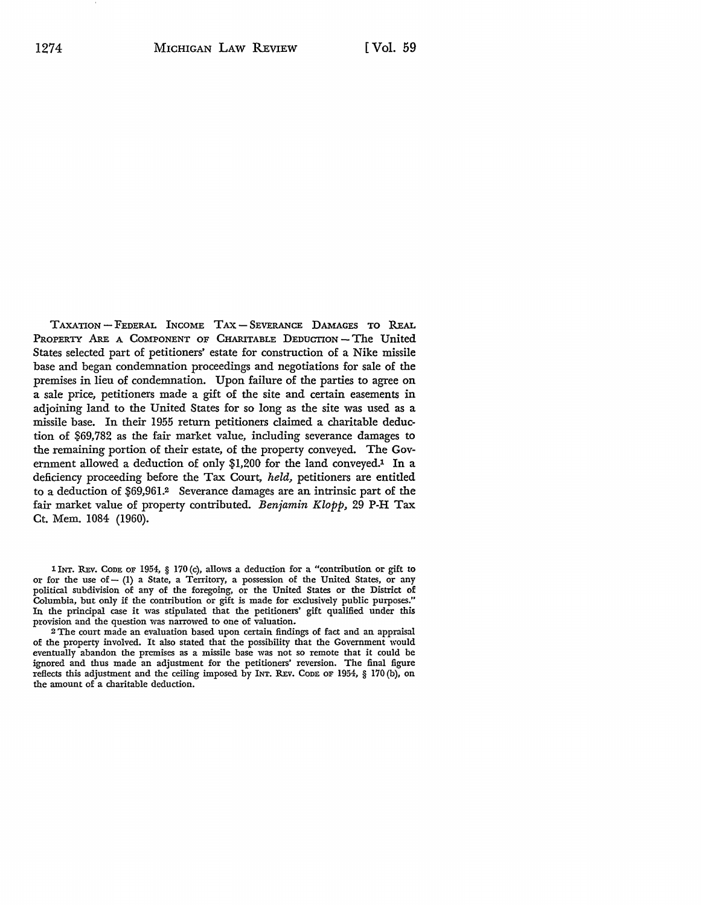TAXATION - FEDERAL INCOME TAX - SEVERANCE DAMAGES TO REAL PROPERTY ARE A COMPONENT OF CHARITABLE DEDUCTION-The United States selected part of petitioners' estate for construction of a Nike missile base and began condemnation proceedings and negotiations for sale of the premises in lieu of condemnation. Upon failure of the parties to agree on a sale price, petitioners made a gift of the site and certain easements in adjoining land to the United States for so long as the site was used as a missile base. In their 1955 return petitioners claimed a charitable deduction of \$69,782 as the fair market value, including severance damages to the remaining portion of their estate, of the property conveyed. The Government allowed a deduction of only \$1,200 for the land conveyed.<sup>1</sup> In a deficiency proceeding before the Tax Court, *held,* petitioners are entitled to a deduction of \$69,961.<sup>2</sup> Severance damages are an intrinsic part of the fair market value of property contributed. Benjamin Klopp, 29 P-H Tax Ct. Mem. 1084 (1960).

1 INT, REv. CODE OF 1954, § 170 (c), allows a deduction for a "contribution or gift to or for the use of - (1) a State, a Territory, a possession of the United States, or any political subdivision of any of the foregoing, or the United States or the District of Columbia, but only if the contribution or gift is made for exclusively public purposes," In the principal case it was stipulated that the petitioners' gift qualified under this provision and the question was narrowed to one of valuation.

<sup>2</sup>The court made an evaluation based upon certain findings of fact and an appraisal of the property involved. It also stated that the possibility that the Government would eventually abandon the premises as a missile base was not so remote that it could be ignored and thus made an adjustment for the petitioners' reversion. The final figure reflects this adjustment and the ceiling imposed by INT. REV. ConE OF 1954, § 170 (b), on the amount of a charitable deduction.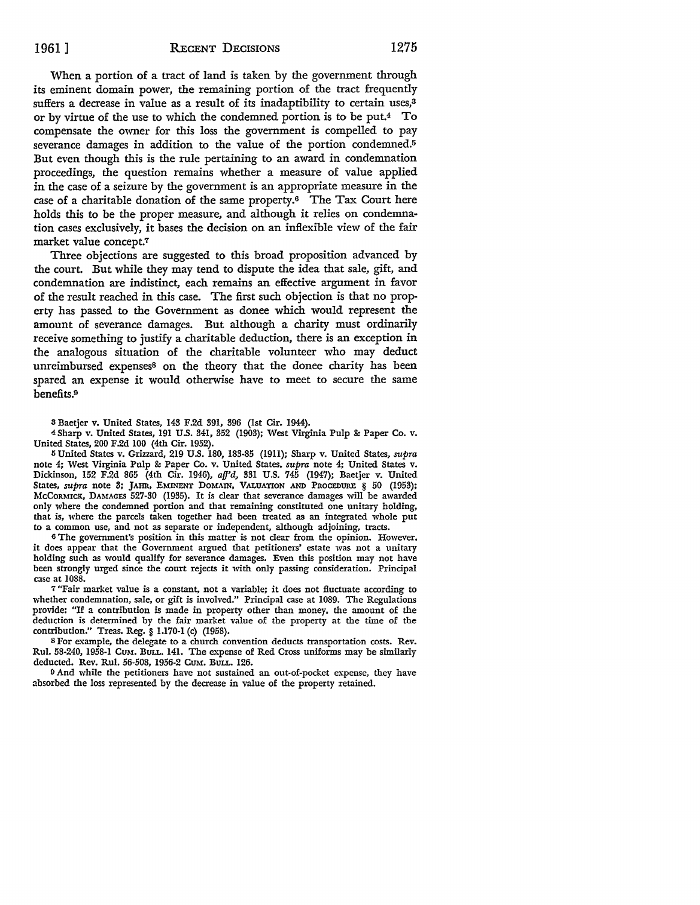When a portion of a tract of land is taken by the government through its eminent domain power, the remaining portion of the tract frequently suffers a decrease in value as a result of its inadaptibility to certain uses,<sup>3</sup> or by virtue of the use to which the condemned portion is to be put.4 To compensate the owner for this loss the government is compelled to pay severance damages in addition to the value of the portion condemned.<sup>5</sup> But even though this is the rule pertaining to an award in condemnation proceedings, the question remains whether a measure of value applied in the case of a seizure by the government is an appropriate measure in the case of a charitable donation of the same property.6 The Tax Court here holds this to be the proper measure, and although it relies on condemnation cases exclusively, it bases the decision on an inflexible view of the fair market value concept.7

Three objections are suggested to this broad proposition advanced by the court. But while they may tend to dispute the idea that sale, gift, and condemnation are indistinct, each remains an effective argument in favor of the result reached in this case. The first such objection is that no property has passed to the Government as donee which would represent the amount of severance damages. But although a charity must ordinarily receive something to justify a charitable deduction, there is an exception in the analogous situation of the charitable volunteer who may deduct unreimbursed expenses<sup>8</sup> on the theory that the donee charity has been spared an expense it would otherwise have to meet to secure the same benefits.<sup>9</sup>

3 Baetjer v. United States, 143 F.2d 391, 396 (1st Cir. 1944).

4 Sharp v. United States, 191 U.S. 341, 352 (1903); West Virginia Pulp &: Paper Co. v. United States, 200 F.2d 100 (4th Cir. 1952).

Ii United States v. Grizzard, 219 U.S. 180, 183-85 (1911); Sharp v. United States, *supra*  note 4; West Virginia Pulp &: Paper Co. v. United States, *supra* note 4; United States v. Dickinson, 152 F.2d 865 (4th Cir. 1946), *aff'd,* 331 U.S. 745 (1947); Baetjer v. United States, *supra* note 3; JAHR, EMINENT DOMAIN, VALUATION AND PROCEDURE § 50 (1953); McCORMICK, DAMAGES 527-30 (1935). It is clear that severance damages will be awarded only where the condemned portion and that remaining constituted one unitary holding, that is, where the parcels taken together had been treated as an integrated whole put to a common use, and not as separate or independent, although adjoining, tracts.

o The government's position in this matter is not clear from the opinion. However, **it** does appear that the Government argued that petitioners' estate was not a unitary holding such as would qualify for severance damages. Even this position may not have been strongly urged since the court rejects **it** with only passing consideration. Principal case at 1088.

<sup>7</sup>"Fair market value is a constant, not a variable; **it** does not fluctuate according to whether condemnation, sale, or gift is involved." Principal case at 1089. The Regulations provide: "If a contribution is made in property other than money, the amount of the deduction is determined by the fair market value of the property at the time of the contribution." Treas. Reg. § 1.170-1 (c) (1958).

8 For example, the delegate to a church convention deducts transportation costs. Rev. Rul. 58-240, 1958-1 CUM. BULL. 141. The expense of Red Cross uniforms may be similarly deducted. Rev. Rul. 56-508, 1956-2 CUM. BULL. 126.

<sup>9</sup> And while the petitioners have not sustained an out-of-pocket expense, they have absorbed the loss represented by the decrease in value of the property retained.